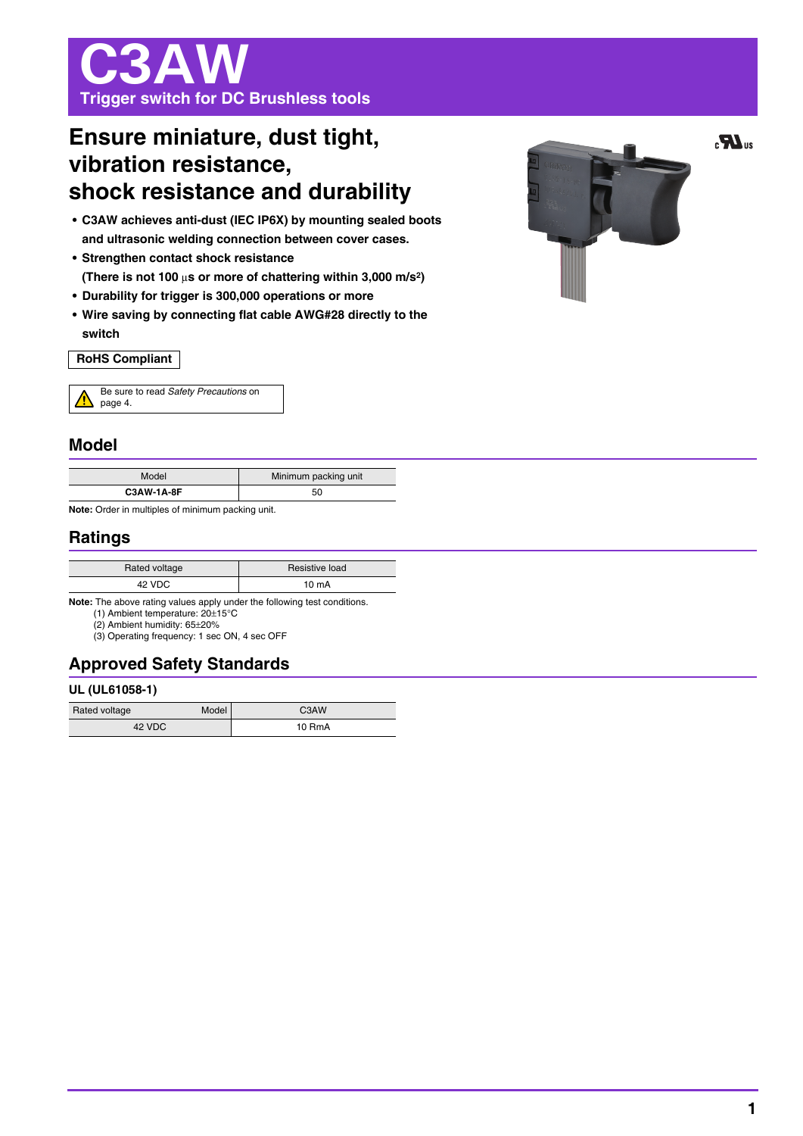# C3AW **Trigger switch for DC Brushless tools**

## **Ensure miniature, dust tight, vibration resistance, shock resistance and durability**

- **C3AW achieves anti-dust (IEC IP6X) by mounting sealed boots and ultrasonic welding connection between cover cases.**
- **Strengthen contact shock resistance (There is not 100** μ**s or more of chattering within 3,000 m/s2)**
- **Durability for trigger is 300,000 operations or more**
- **Wire saving by connecting flat cable AWG#28 directly to the switch**

#### **RoHS Compliant**

| Be sure to read Safety Precautions on |
|---------------------------------------|
| $\Delta$ page 4.                      |

#### **Model**

| Model             | Minimum packing unit |
|-------------------|----------------------|
| <b>C3AW-1A-8F</b> | 50                   |

**Note:** Order in multiples of minimum packing unit.

## **Ratings**

| Rated voltage | Resistive load  |
|---------------|-----------------|
| 42 VDC        | $10 \text{ mA}$ |

**Note:** The above rating values apply under the following test conditions.

(1) Ambient temperature: 20±15°C

(2) Ambient humidity: 65±20% (3) Operating frequency: 1 sec ON, 4 sec OFF

**Approved Safety Standards** 

#### **UL (UL61058-1)**

| Rated voltage | <b>Model</b> | C <sub>3</sub> AW |
|---------------|--------------|-------------------|
| 42 VDC        |              | 10 RmA            |

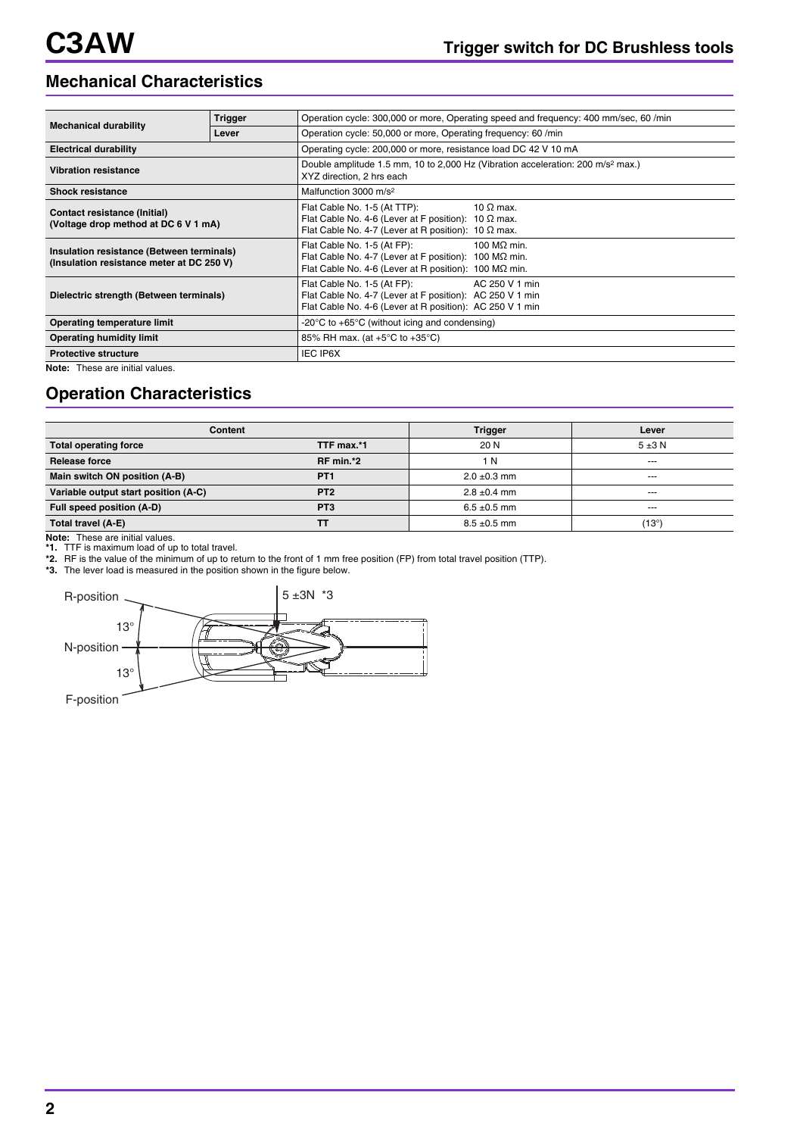## **Mechanical Characteristics**

| <b>Mechanical durability</b>                                                           | <b>Trigger</b> | Operation cycle: 300,000 or more, Operating speed and frequency: 400 mm/sec, 60 /min                                                                                         |  |  |  |
|----------------------------------------------------------------------------------------|----------------|------------------------------------------------------------------------------------------------------------------------------------------------------------------------------|--|--|--|
|                                                                                        | Lever          | Operation cycle: 50,000 or more, Operating frequency: 60 /min                                                                                                                |  |  |  |
| <b>Electrical durability</b>                                                           |                | Operating cycle: 200,000 or more, resistance load DC 42 V 10 mA                                                                                                              |  |  |  |
| <b>Vibration resistance</b>                                                            |                | Double amplitude 1.5 mm, 10 to 2,000 Hz (Vibration acceleration: 200 m/s <sup>2</sup> max.)<br>XYZ direction, 2 hrs each                                                     |  |  |  |
| <b>Shock resistance</b>                                                                |                | Malfunction 3000 m/s <sup>2</sup>                                                                                                                                            |  |  |  |
| Contact resistance (Initial)<br>(Voltage drop method at DC 6 V 1 mA)                   |                | 10 $\Omega$ max.<br>Flat Cable No. 1-5 (At TTP):<br>Flat Cable No. 4-6 (Lever at F position): 10 $\Omega$ max.<br>Flat Cable No. 4-7 (Lever at R position): 10 $\Omega$ max. |  |  |  |
| Insulation resistance (Between terminals)<br>(Insulation resistance meter at DC 250 V) |                | 100 MΩ min.<br>Flat Cable No. 1-5 (At FP):<br>Flat Cable No. 4-7 (Lever at F position): 100 MΩ min.<br>Flat Cable No. 4-6 (Lever at R position): $100 M\Omega$ min.          |  |  |  |
| Dielectric strength (Between terminals)                                                |                | Flat Cable No. 1-5 (At FP):<br>AC 250 V 1 min<br>Flat Cable No. 4-7 (Lever at F position): AC 250 V 1 min<br>Flat Cable No. 4-6 (Lever at R position): AC 250 V 1 min        |  |  |  |
| Operating temperature limit                                                            |                | -20 $\degree$ C to +65 $\degree$ C (without icing and condensing)                                                                                                            |  |  |  |
| <b>Operating humidity limit</b>                                                        |                | 85% RH max. (at $+5^{\circ}$ C to $+35^{\circ}$ C)                                                                                                                           |  |  |  |
| <b>Protective structure</b>                                                            |                | <b>IEC IP6X</b>                                                                                                                                                              |  |  |  |
|                                                                                        |                |                                                                                                                                                                              |  |  |  |

**Note:** These are initial values.

## **Operation Characteristics**

| Content                              |                 | <b>Trigger</b>   | Lever     |
|--------------------------------------|-----------------|------------------|-----------|
| <b>Total operating force</b>         | TTF max.*1      | 20 N             | $5\pm3$ N |
| Release force                        | RF min.*2       | 1 N              | $---$     |
| Main switch ON position (A-B)        | <b>PT1</b>      | $2.0 \pm 0.3$ mm | $--$      |
| Variable output start position (A-C) | PT <sub>2</sub> | $2.8 \pm 0.4$ mm | $--$      |
| Full speed position (A-D)            | PT <sub>3</sub> | $6.5 \pm 0.5$ mm | $---$     |
| Total travel (A-E)                   | тт              | $8.5 \pm 0.5$ mm | (13°)     |
|                                      |                 |                  |           |

**Note:** These are initial values. **\*1.** TTF is maximum load of up to total travel.

**\*2.** RF is the value of the minimum of up to return to the front of 1 mm free position (FP) from total travel position (TTP).

**\*3.** The lever load is measured in the position shown in the figure below.

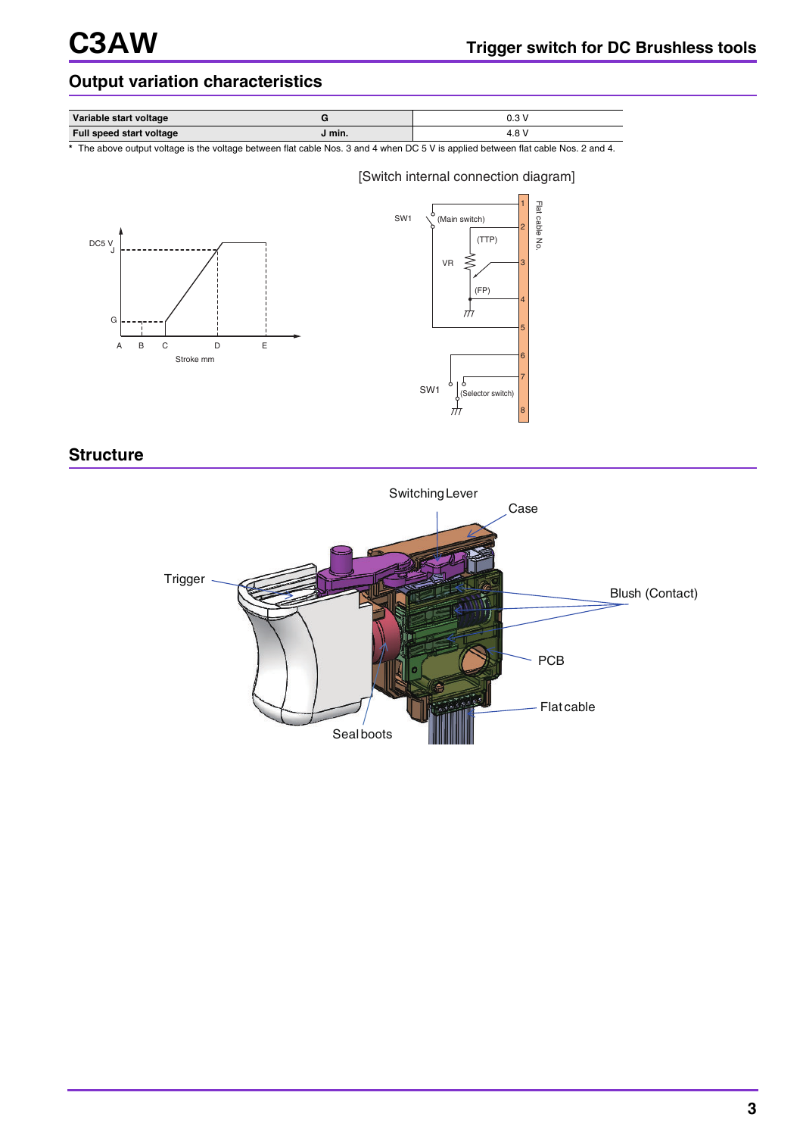## **Output variation characteristics**

| Variable start voltage   | $\sim$ | 0.3V          |
|--------------------------|--------|---------------|
| Full speed start voltage | J min. | $4.8^{\circ}$ |

**\*** The above output voltage is the voltage between flat cable Nos. 3 and 4 when DC 5 V is applied between flat cable Nos. 2 and 4.

[Switch internal connection diagram]





**Structure**

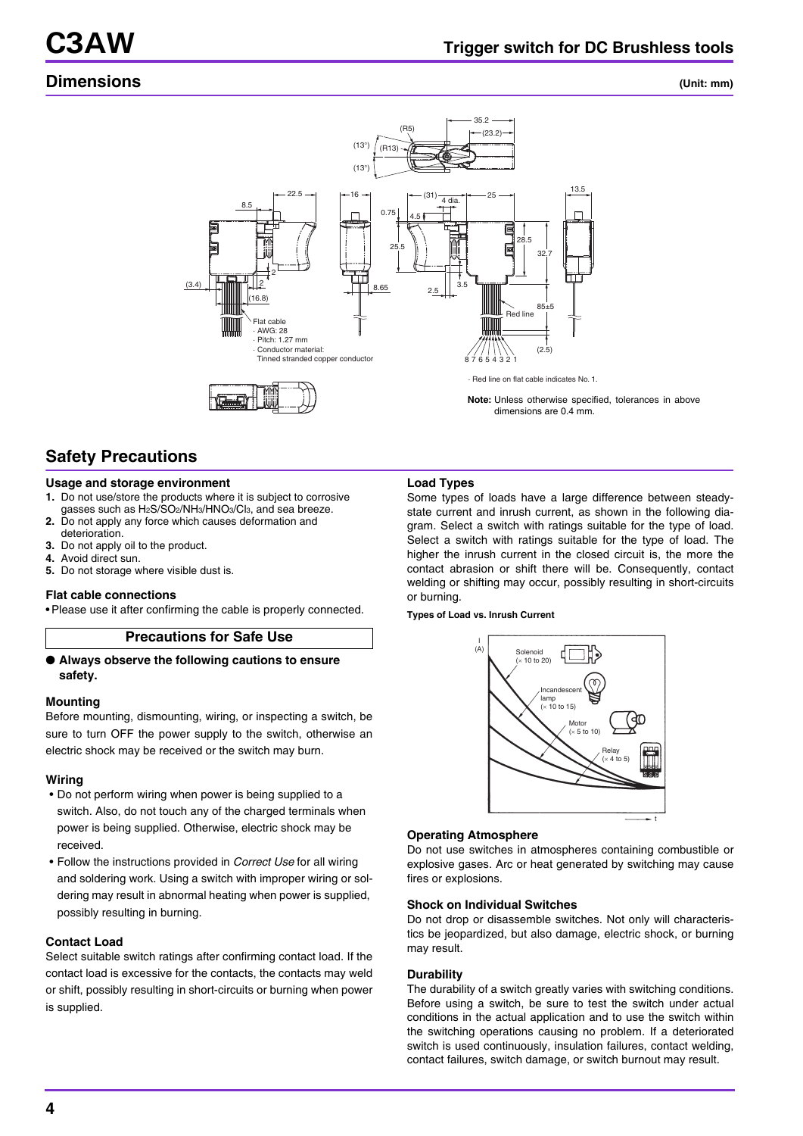## **Dimensions (Unit: mm)**



## **Safety Precautions**

#### **Usage and storage environment**

- **1.** Do not use/store the products where it is subject to corrosive gasses such as H2S/SO2/NH3/HNO3/Cl3, and sea breeze.
- **2.** Do not apply any force which causes deformation and deterioration.
- **3.** Do not apply oil to the product.
- **4.** Avoid direct sun.
- **5.** Do not storage where visible dust is.

#### **Flat cable connections**

• Please use it after confirming the cable is properly connected.

#### **Precautions for Safe Use**

#### ● **Always observe the following cautions to ensure safety.**

#### **Mounting**

Before mounting, dismounting, wiring, or inspecting a switch, be sure to turn OFF the power supply to the switch, otherwise an electric shock may be received or the switch may burn.

#### **Wiring**

- Do not perform wiring when power is being supplied to a switch. Also, do not touch any of the charged terminals when power is being supplied. Otherwise, electric shock may be received.
- Follow the instructions provided in *Correct Use* for all wiring and soldering work. Using a switch with improper wiring or soldering may result in abnormal heating when power is supplied, possibly resulting in burning.

#### **Contact Load**

Select suitable switch ratings after confirming contact load. If the contact load is excessive for the contacts, the contacts may weld or shift, possibly resulting in short-circuits or burning when power is supplied.

#### **Load Types**

Some types of loads have a large difference between steadystate current and inrush current, as shown in the following diagram. Select a switch with ratings suitable for the type of load. Select a switch with ratings suitable for the type of load. The higher the inrush current in the closed circuit is, the more the contact abrasion or shift there will be. Consequently, contact welding or shifting may occur, possibly resulting in short-circuits or burning.

#### **Types of Load vs. Inrush Current**



#### **Operating Atmosphere**

Do not use switches in atmospheres containing combustible or explosive gases. Arc or heat generated by switching may cause fires or explosions.

#### **Shock on Individual Switches**

Do not drop or disassemble switches. Not only will characteristics be jeopardized, but also damage, electric shock, or burning may result.

#### **Durability**

The durability of a switch greatly varies with switching conditions. Before using a switch, be sure to test the switch under actual conditions in the actual application and to use the switch within the switching operations causing no problem. If a deteriorated switch is used continuously, insulation failures, contact welding, contact failures, switch damage, or switch burnout may result.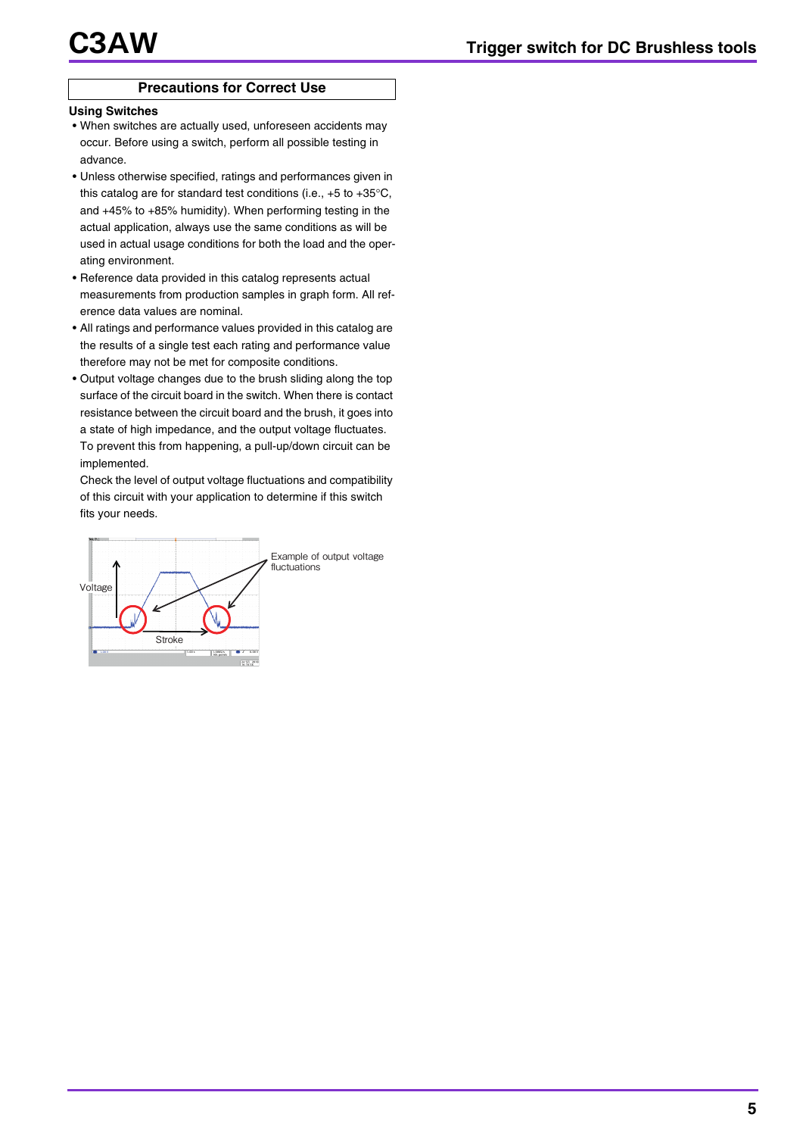#### **Precautions for Correct Use**

#### **Using Switches**

- When switches are actually used, unforeseen accidents may occur. Before using a switch, perform all possible testing in advance.
- Unless otherwise specified, ratings and performances given in this catalog are for standard test conditions (i.e., +5 to +35°C, and +45% to +85% humidity). When performing testing in the actual application, always use the same conditions as will be used in actual usage conditions for both the load and the operating environment.
- Reference data provided in this catalog represents actual measurements from production samples in graph form. All reference data values are nominal.
- All ratings and performance values provided in this catalog are the results of a single test each rating and performance value therefore may not be met for composite conditions.
- Output voltage changes due to the brush sliding along the top surface of the circuit board in the switch. When there is contact resistance between the circuit board and the brush, it goes into a state of high impedance, and the output voltage fluctuates. To prevent this from happening, a pull-up/down circuit can be implemented.

Check the level of output voltage fluctuations and compatibility of this circuit with your application to determine if this switch fits your needs.